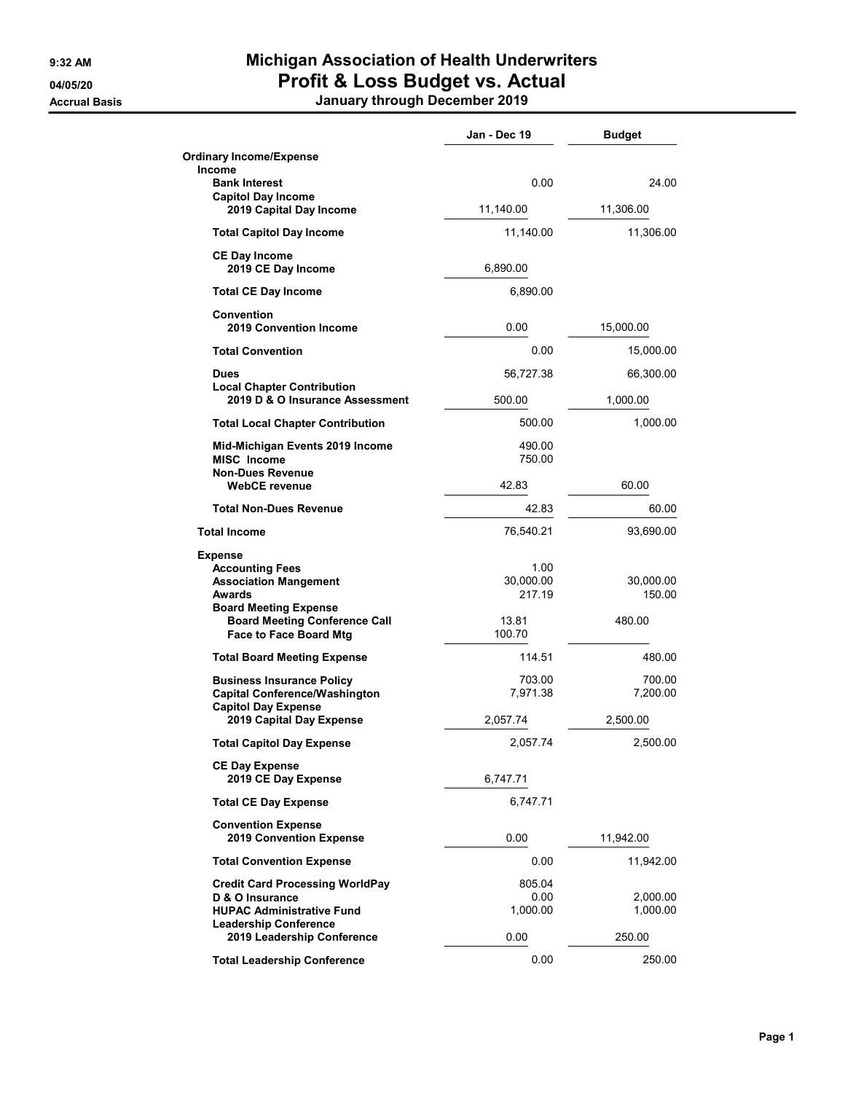## 9:32 AM Michigan Association of Health Underwriters 04/05/20 **Profit & Loss Budget vs. Actual**

Accrual Basis January through December 2019

|                                                                                                                                                                                                    | Jan - Dec 19                                   | <b>Budget</b>                 |
|----------------------------------------------------------------------------------------------------------------------------------------------------------------------------------------------------|------------------------------------------------|-------------------------------|
| <b>Ordinary Income/Expense</b><br>Income                                                                                                                                                           |                                                |                               |
| <b>Bank Interest</b>                                                                                                                                                                               | 0.00                                           | 24.00                         |
| <b>Capitol Day Income</b><br>2019 Capital Day Income                                                                                                                                               | 11,140.00                                      | 11,306.00                     |
| <b>Total Capitol Day Income</b>                                                                                                                                                                    | 11,140.00                                      | 11,306.00                     |
| <b>CE Day Income</b><br>2019 CE Day Income                                                                                                                                                         | 6,890.00                                       |                               |
| <b>Total CE Day Income</b>                                                                                                                                                                         | 6,890.00                                       |                               |
| <b>Convention</b><br><b>2019 Convention Income</b>                                                                                                                                                 | 0.00                                           | 15,000.00                     |
| <b>Total Convention</b>                                                                                                                                                                            | 0.00                                           | 15,000.00                     |
| <b>Dues</b>                                                                                                                                                                                        | 56,727.38                                      | 66,300.00                     |
| <b>Local Chapter Contribution</b><br>2019 D & O Insurance Assessment                                                                                                                               | 500.00                                         | 1,000.00                      |
| <b>Total Local Chapter Contribution</b>                                                                                                                                                            | 500.00                                         | 1,000.00                      |
| Mid-Michigan Events 2019 Income<br><b>MISC Income</b><br><b>Non-Dues Revenue</b>                                                                                                                   | 490.00<br>750.00                               |                               |
| <b>WebCE</b> revenue                                                                                                                                                                               | 42.83                                          | 60.00                         |
| <b>Total Non-Dues Revenue</b>                                                                                                                                                                      | 42.83                                          | 60.00                         |
| <b>Total Income</b>                                                                                                                                                                                | 76,540.21                                      | 93,690.00                     |
| <b>Expense</b><br><b>Accounting Fees</b><br><b>Association Mangement</b><br><b>Awards</b><br><b>Board Meeting Expense</b><br><b>Board Meeting Conference Call</b><br><b>Face to Face Board Mtg</b> | 1.00<br>30,000.00<br>217.19<br>13.81<br>100.70 | 30,000.00<br>150.00<br>480.00 |
| <b>Total Board Meeting Expense</b>                                                                                                                                                                 | 114.51                                         | 480.00                        |
| <b>Business Insurance Policy</b><br><b>Capital Conference/Washington</b><br><b>Capitol Day Expense</b>                                                                                             | 703.00<br>7,971.38                             | 700.00<br>7,200.00            |
| 2019 Capital Day Expense                                                                                                                                                                           | 2,057.74                                       | 2,500.00                      |
| <b>Total Capitol Day Expense</b>                                                                                                                                                                   | 2,057.74                                       | 2,500.00                      |
| <b>CE Day Expense</b><br>2019 CE Day Expense                                                                                                                                                       | 6,747.71                                       |                               |
| <b>Total CE Day Expense</b>                                                                                                                                                                        | 6,747.71                                       |                               |
| <b>Convention Expense</b><br>2019 Convention Expense                                                                                                                                               | 0.00                                           | 11,942.00                     |
| <b>Total Convention Expense</b>                                                                                                                                                                    | 0.00                                           | 11,942.00                     |
| <b>Credit Card Processing WorldPay</b><br>D & O Insurance                                                                                                                                          | 805.04<br>0.00                                 | 2,000.00                      |
| <b>HUPAC Administrative Fund</b><br><b>Leadership Conference</b>                                                                                                                                   | 1,000.00                                       | 1,000.00                      |
| 2019 Leadership Conference                                                                                                                                                                         | 0.00                                           | 250.00                        |
| <b>Total Leadership Conference</b>                                                                                                                                                                 | 0.00                                           | 250.00                        |